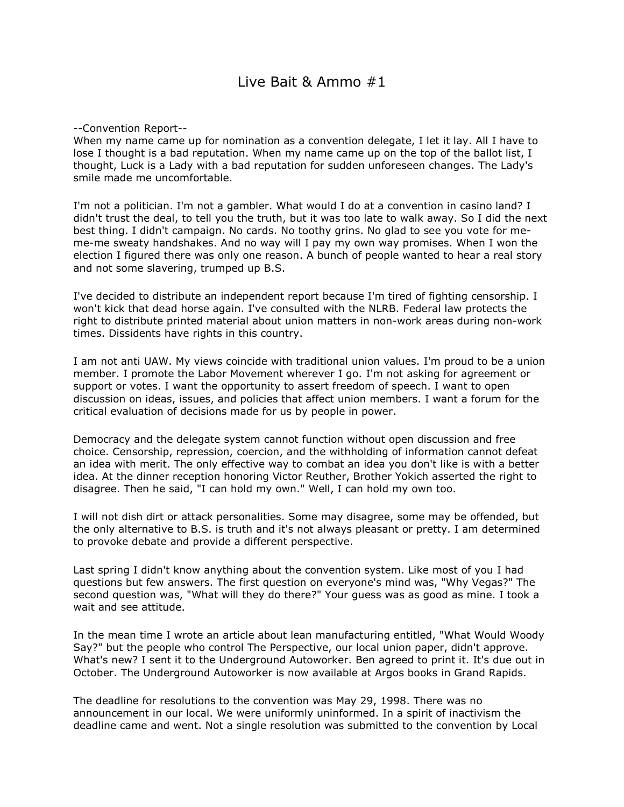## Live Bait & Ammo #1

--Convention Report--

When my name came up for nomination as a convention delegate, I let it lay. All I have to lose I thought is a bad reputation. When my name came up on the top of the ballot list, I thought, Luck is a Lady with a bad reputation for sudden unforeseen changes. The Lady's smile made me uncomfortable.

I'm not a politician. I'm not a gambler. What would I do at a convention in casino land? I didn't trust the deal, to tell you the truth, but it was too late to walk away. So I did the next best thing. I didn't campaign. No cards. No toothy grins. No glad to see you vote for meme-me sweaty handshakes. And no way will I pay my own way promises. When I won the election I figured there was only one reason. A bunch of people wanted to hear a real story and not some slavering, trumped up B.S.

I've decided to distribute an independent report because I'm tired of fighting censorship. I won't kick that dead horse again. I've consulted with the NLRB. Federal law protects the right to distribute printed material about union matters in non-work areas during non-work times. Dissidents have rights in this country.

I am not anti UAW. My views coincide with traditional union values. I'm proud to be a union member. I promote the Labor Movement wherever I go. I'm not asking for agreement or support or votes. I want the opportunity to assert freedom of speech. I want to open discussion on ideas, issues, and policies that affect union members. I want a forum for the critical evaluation of decisions made for us by people in power.

Democracy and the delegate system cannot function without open discussion and free choice. Censorship, repression, coercion, and the withholding of information cannot defeat an idea with merit. The only effective way to combat an idea you don't like is with a better idea. At the dinner reception honoring Victor Reuther, Brother Yokich asserted the right to disagree. Then he said, "I can hold my own." Well, I can hold my own too.

I will not dish dirt or attack personalities. Some may disagree, some may be offended, but the only alternative to B.S. is truth and it's not always pleasant or pretty. I am determined to provoke debate and provide a different perspective.

Last spring I didn't know anything about the convention system. Like most of you I had questions but few answers. The first question on everyone's mind was, "Why Vegas?" The second question was, "What will they do there?" Your guess was as good as mine. I took a wait and see attitude.

In the mean time I wrote an article about lean manufacturing entitled, "What Would Woody Say?" but the people who control The Perspective, our local union paper, didn't approve. What's new? I sent it to the Underground Autoworker. Ben agreed to print it. It's due out in October. The Underground Autoworker is now available at Argos books in Grand Rapids.

The deadline for resolutions to the convention was May 29, 1998. There was no announcement in our local. We were uniformly uninformed. In a spirit of inactivism the deadline came and went. Not a single resolution was submitted to the convention by Local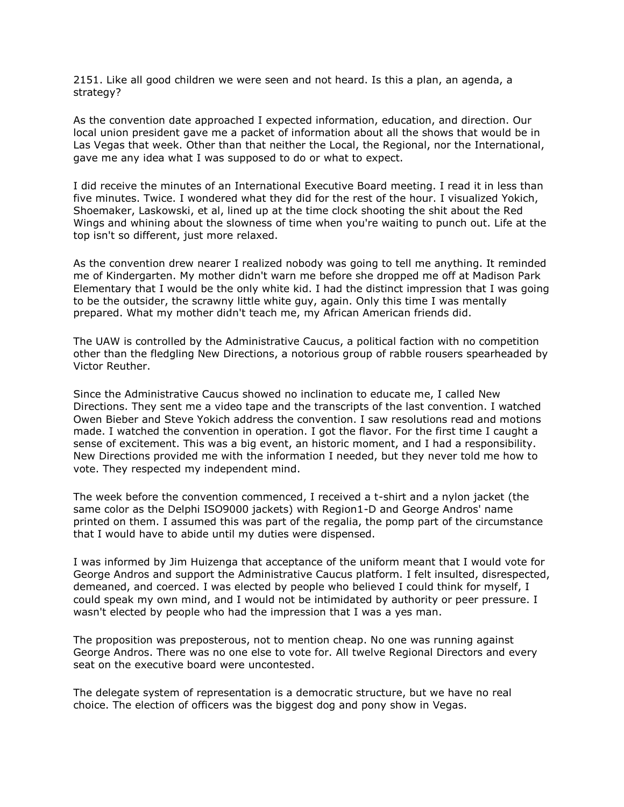2151. Like all good children we were seen and not heard. Is this a plan, an agenda, a strategy?

As the convention date approached I expected information, education, and direction. Our local union president gave me a packet of information about all the shows that would be in Las Vegas that week. Other than that neither the Local, the Regional, nor the International, gave me any idea what I was supposed to do or what to expect.

I did receive the minutes of an International Executive Board meeting. I read it in less than five minutes. Twice. I wondered what they did for the rest of the hour. I visualized Yokich, Shoemaker, Laskowski, et al, lined up at the time clock shooting the shit about the Red Wings and whining about the slowness of time when you're waiting to punch out. Life at the top isn't so different, just more relaxed.

As the convention drew nearer I realized nobody was going to tell me anything. It reminded me of Kindergarten. My mother didn't warn me before she dropped me off at Madison Park Elementary that I would be the only white kid. I had the distinct impression that I was going to be the outsider, the scrawny little white guy, again. Only this time I was mentally prepared. What my mother didn't teach me, my African American friends did.

The UAW is controlled by the Administrative Caucus, a political faction with no competition other than the fledgling New Directions, a notorious group of rabble rousers spearheaded by Victor Reuther.

Since the Administrative Caucus showed no inclination to educate me, I called New Directions. They sent me a video tape and the transcripts of the last convention. I watched Owen Bieber and Steve Yokich address the convention. I saw resolutions read and motions made. I watched the convention in operation. I got the flavor. For the first time I caught a sense of excitement. This was a big event, an historic moment, and I had a responsibility. New Directions provided me with the information I needed, but they never told me how to vote. They respected my independent mind.

The week before the convention commenced, I received a t-shirt and a nylon jacket (the same color as the Delphi ISO9000 jackets) with Region1-D and George Andros' name printed on them. I assumed this was part of the regalia, the pomp part of the circumstance that I would have to abide until my duties were dispensed.

I was informed by Jim Huizenga that acceptance of the uniform meant that I would vote for George Andros and support the Administrative Caucus platform. I felt insulted, disrespected, demeaned, and coerced. I was elected by people who believed I could think for myself, I could speak my own mind, and I would not be intimidated by authority or peer pressure. I wasn't elected by people who had the impression that I was a yes man.

The proposition was preposterous, not to mention cheap. No one was running against George Andros. There was no one else to vote for. All twelve Regional Directors and every seat on the executive board were uncontested.

The delegate system of representation is a democratic structure, but we have no real choice. The election of officers was the biggest dog and pony show in Vegas.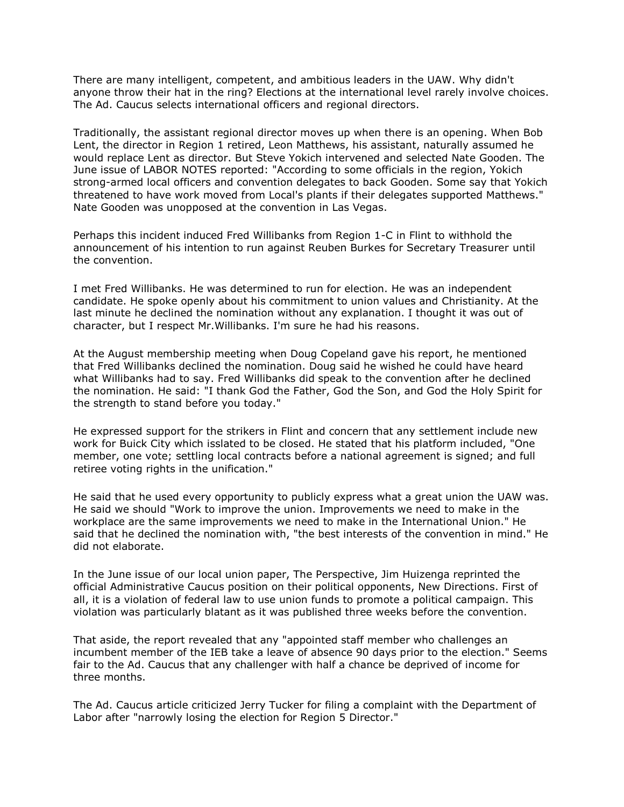There are many intelligent, competent, and ambitious leaders in the UAW. Why didn't anyone throw their hat in the ring? Elections at the international level rarely involve choices. The Ad. Caucus selects international officers and regional directors.

Traditionally, the assistant regional director moves up when there is an opening. When Bob Lent, the director in Region 1 retired, Leon Matthews, his assistant, naturally assumed he would replace Lent as director. But Steve Yokich intervened and selected Nate Gooden. The June issue of LABOR NOTES reported: "According to some officials in the region, Yokich strong-armed local officers and convention delegates to back Gooden. Some say that Yokich threatened to have work moved from Local's plants if their delegates supported Matthews." Nate Gooden was unopposed at the convention in Las Vegas.

Perhaps this incident induced Fred Willibanks from Region 1-C in Flint to withhold the announcement of his intention to run against Reuben Burkes for Secretary Treasurer until the convention.

I met Fred Willibanks. He was determined to run for election. He was an independent candidate. He spoke openly about his commitment to union values and Christianity. At the last minute he declined the nomination without any explanation. I thought it was out of character, but I respect Mr.Willibanks. I'm sure he had his reasons.

At the August membership meeting when Doug Copeland gave his report, he mentioned that Fred Willibanks declined the nomination. Doug said he wished he could have heard what Willibanks had to say. Fred Willibanks did speak to the convention after he declined the nomination. He said: "I thank God the Father, God the Son, and God the Holy Spirit for the strength to stand before you today."

He expressed support for the strikers in Flint and concern that any settlement include new work for Buick City which isslated to be closed. He stated that his platform included, "One member, one vote; settling local contracts before a national agreement is signed; and full retiree voting rights in the unification."

He said that he used every opportunity to publicly express what a great union the UAW was. He said we should "Work to improve the union. Improvements we need to make in the workplace are the same improvements we need to make in the International Union." He said that he declined the nomination with, "the best interests of the convention in mind." He did not elaborate.

In the June issue of our local union paper, The Perspective, Jim Huizenga reprinted the official Administrative Caucus position on their political opponents, New Directions. First of all, it is a violation of federal law to use union funds to promote a political campaign. This violation was particularly blatant as it was published three weeks before the convention.

That aside, the report revealed that any "appointed staff member who challenges an incumbent member of the IEB take a leave of absence 90 days prior to the election." Seems fair to the Ad. Caucus that any challenger with half a chance be deprived of income for three months.

The Ad. Caucus article criticized Jerry Tucker for filing a complaint with the Department of Labor after "narrowly losing the election for Region 5 Director."